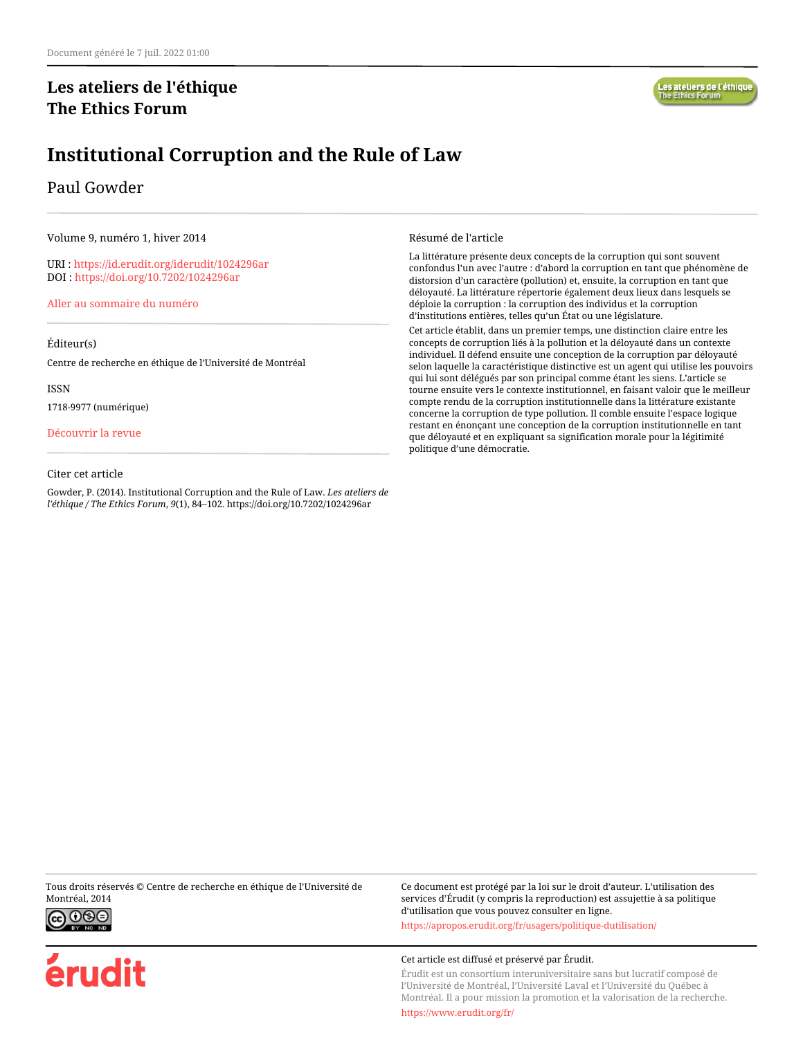# **Les ateliers de l'éthique The Ethics Forum**

# **Institutional Corruption and the Rule of Law**

# Paul Gowder

Volume 9, numéro 1, hiver 2014

URI :<https://id.erudit.org/iderudit/1024296ar> DOI :<https://doi.org/10.7202/1024296ar>

[Aller au sommaire du numéro](https://www.erudit.org/fr/revues/ateliers/2014-v9-n1-ateliers01328/)

### Éditeur(s)

Centre de recherche en éthique de l'Université de Montréal

#### ISSN

1718-9977 (numérique)

[Découvrir la revue](https://www.erudit.org/fr/revues/ateliers/)

### Citer cet article

Gowder, P. (2014). Institutional Corruption and the Rule of Law. *Les ateliers de l'éthique / The Ethics Forum*, *9*(1), 84–102. https://doi.org/10.7202/1024296ar

#### Résumé de l'article

La littérature présente deux concepts de la corruption qui sont souvent confondus l'un avec l'autre : d'abord la corruption en tant que phénomène de distorsion d'un caractère (pollution) et, ensuite, la corruption en tant que déloyauté. La littérature répertorie également deux lieux dans lesquels se déploie la corruption : la corruption des individus et la corruption d'institutions entières, telles qu'un État ou une législature.

Cet article établit, dans un premier temps, une distinction claire entre les concepts de corruption liés à la pollution et la déloyauté dans un contexte individuel. Il défend ensuite une conception de la corruption par déloyauté selon laquelle la caractéristique distinctive est un agent qui utilise les pouvoirs qui lui sont délégués par son principal comme étant les siens. L'article se tourne ensuite vers le contexte institutionnel, en faisant valoir que le meilleur compte rendu de la corruption institutionnelle dans la littérature existante concerne la corruption de type pollution. Il comble ensuite l'espace logique restant en énonçant une conception de la corruption institutionnelle en tant que déloyauté et en expliquant sa signification morale pour la légitimité politique d'une démocratie.

Tous droits réservés © Centre de recherche en éthique de l'Université de Montréal, 2014



érudit

Ce document est protégé par la loi sur le droit d'auteur. L'utilisation des services d'Érudit (y compris la reproduction) est assujettie à sa politique d'utilisation que vous pouvez consulter en ligne. <https://apropos.erudit.org/fr/usagers/politique-dutilisation/>

#### Cet article est diffusé et préservé par Érudit.

Érudit est un consortium interuniversitaire sans but lucratif composé de l'Université de Montréal, l'Université Laval et l'Université du Québec à Montréal. Il a pour mission la promotion et la valorisation de la recherche.

<https://www.erudit.org/fr/>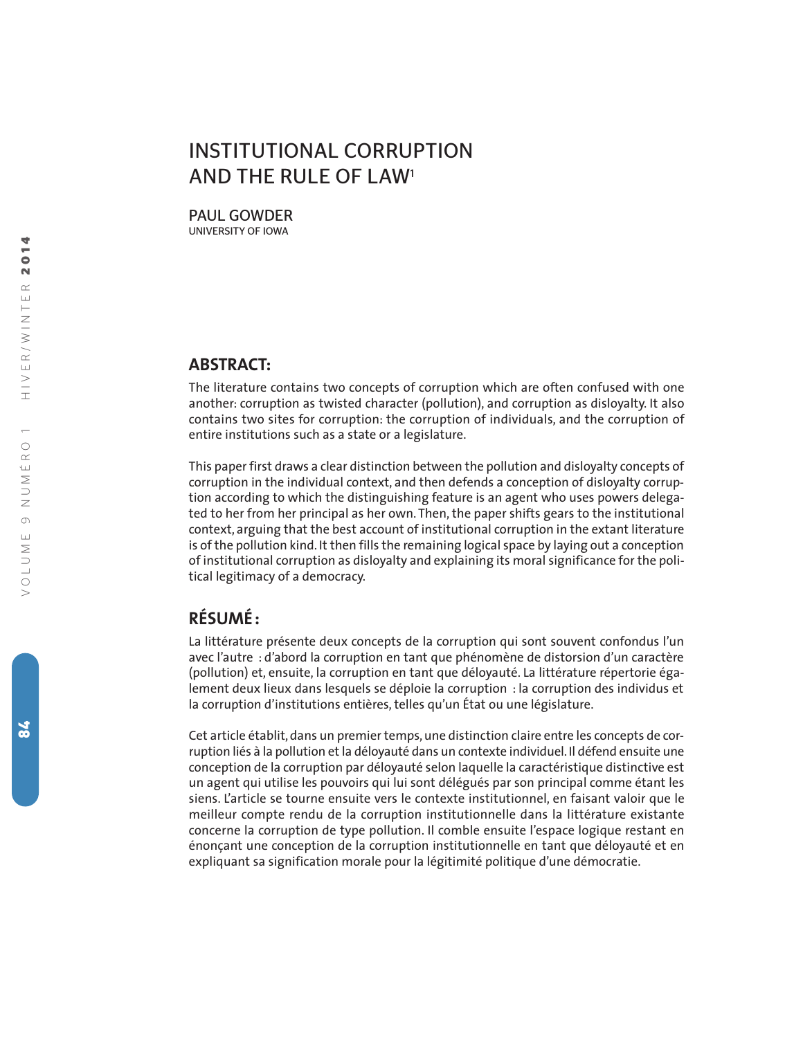# INSTITUTIONAL CORRUPTION AND THE RULE OF LAW 1

PAUL GOWDER UNIVERSITY OF IOWA

# **ABSTRACT:**

The literature contains two concepts of corruption which are often confused with one another: corruption as twisted character (pollution), and corruption as disloyalty. It also contains two sites for corruption: the corruption of individuals, and the corruption of entire institutions such as a state or a legislature.

This paper first draws a clear distinction between the pollution and disloyalty concepts of corruption in the individual context, and then defends a conception of disloyalty corruption according to which the distinguishing feature is an agent who uses powers delegated to her from her principal as her own. Then, the paper shifts gears to the institutional context, arguing that the best account of institutional corruption in the extant literature is of the pollution kind. It then fills the remaining logical space by laying out a conception of institutional corruption as disloyalty and explaining its moral significance for the political legitimacy of a democracy.

# **RÉSUMÉ :**

La littérature présente deux concepts de la corruption qui sont souvent confondus l'un avec l'autre : d'abord la corruption en tant que phénomène de distorsion d'un caractère (pollution) et, ensuite, la corruption en tant que déloyauté. La littérature répertorie également deux lieux dans lesquels se déploie la corruption : la corruption des individus et la corruption d'institutions entières, telles qu'un État ou une législature.

Cet article établit, dans un premier temps, une distinction claire entre les concepts de corruption liés à la pollution et la déloyauté dans un contexte individuel. Il défend ensuite une conception de la corruption par déloyauté selon laquelle la caractéristique distinctive est un agent qui utilise les pouvoirs qui lui sont délégués par son principal comme étant les siens. L'article se tourne ensuite vers le contexte institutionnel, en faisant valoir que le meilleur compte rendu de la corruption institutionnelle dans la littérature existante concerne la corruption de type pollution. Il comble ensuite l'espace logique restant en énonçant une conception de la corruption institutionnelle en tant que déloyauté et en expliquant sa signification morale pour la légitimité politique d'une démocratie.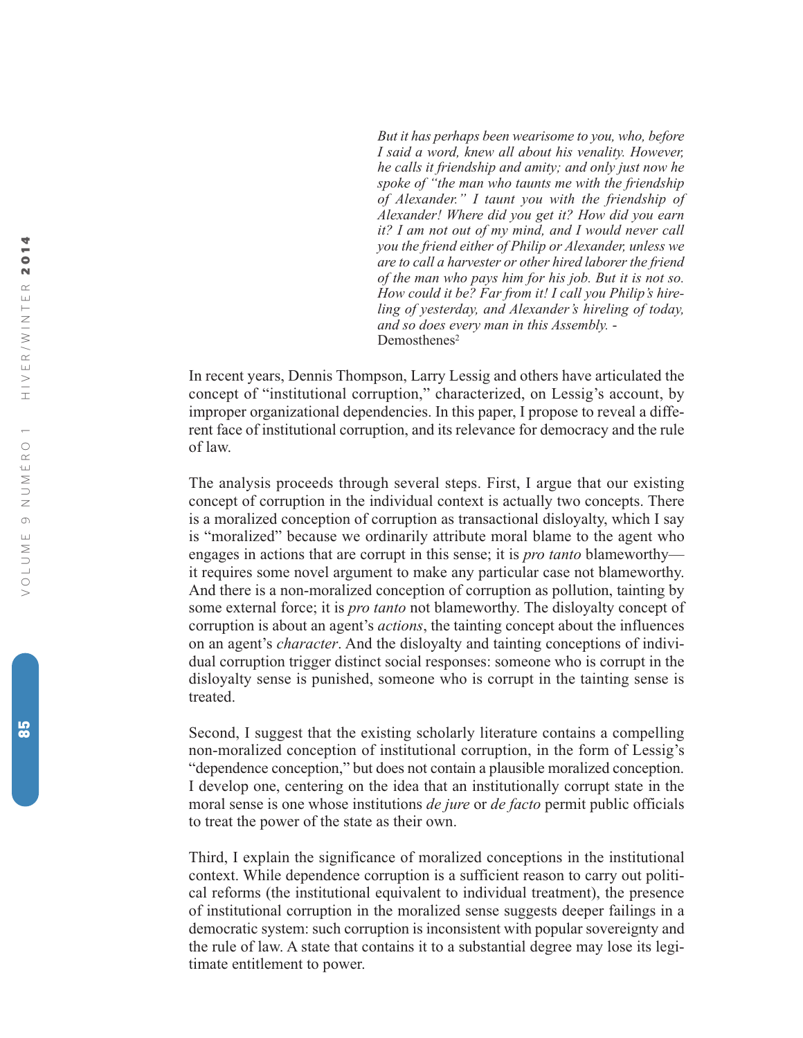*But it has perhaps been wearisome to you, who, before I said a word, knew all about his venality. However, he calls it friendship and amity; and only just now he spoke of "the man who taunts me with the friendship of Alexander." I taunt you with the friendship of Alexander! Where did you get it? How did you earn it? I am not out of my mind, and I would never call you the friend either of Philip or Alexander, unless we are to call a harvester or other hired laborer the friend of the man who pays him for his job. But it is not so. How could it be? Far from it! I call you Philip's hireling of yesterday, and Alexander's hireling of today, and so does every man in this Assembly.* - Demosthenes<sup>2</sup>

In recent years, Dennis Thompson, Larry Lessig and others have articulated the concept of "institutional corruption," characterized, on Lessig's account, by improper organizational dependencies. In this paper, I propose to reveal a different face of institutional corruption, and its relevance for democracy and the rule of law.

The analysis proceeds through several steps. First, I argue that our existing concept of corruption in the individual context is actually two concepts. There is a moralized conception of corruption as transactional disloyalty, which I say is "moralized" because we ordinarily attribute moral blame to the agent who engages in actions that are corrupt in this sense; it is *pro tanto* blameworthy it requires some novel argument to make any particular case not blameworthy. And there is a non-moralized conception of corruption as pollution, tainting by some external force; it is *pro tanto* not blameworthy. The disloyalty concept of corruption is about an agent's *actions*, the tainting concept about the influences on an agent's *character*. And the disloyalty and tainting conceptions of individual corruption trigger distinct social responses: someone who is corrupt in the disloyalty sense is punished, someone who is corrupt in the tainting sense is treated.

Second, I suggest that the existing scholarly literature contains a compelling non-moralized conception of institutional corruption, in the form of Lessig's "dependence conception," but does not contain a plausible moralized conception. I develop one, centering on the idea that an institutionally corrupt state in the moral sense is one whose institutions *de jure* or *de facto* permit public officials to treat the power of the state as their own.

Third, I explain the significance of moralized conceptions in the institutional context. While dependence corruption is a sufficient reason to carry out political reforms (the institutional equivalent to individual treatment), the presence of institutional corruption in the moralized sense suggests deeper failings in a democratic system: such corruption is inconsistent with popular sovereignty and the rule of law. A state that contains it to a substantial degree may lose its legitimate entitlement to power.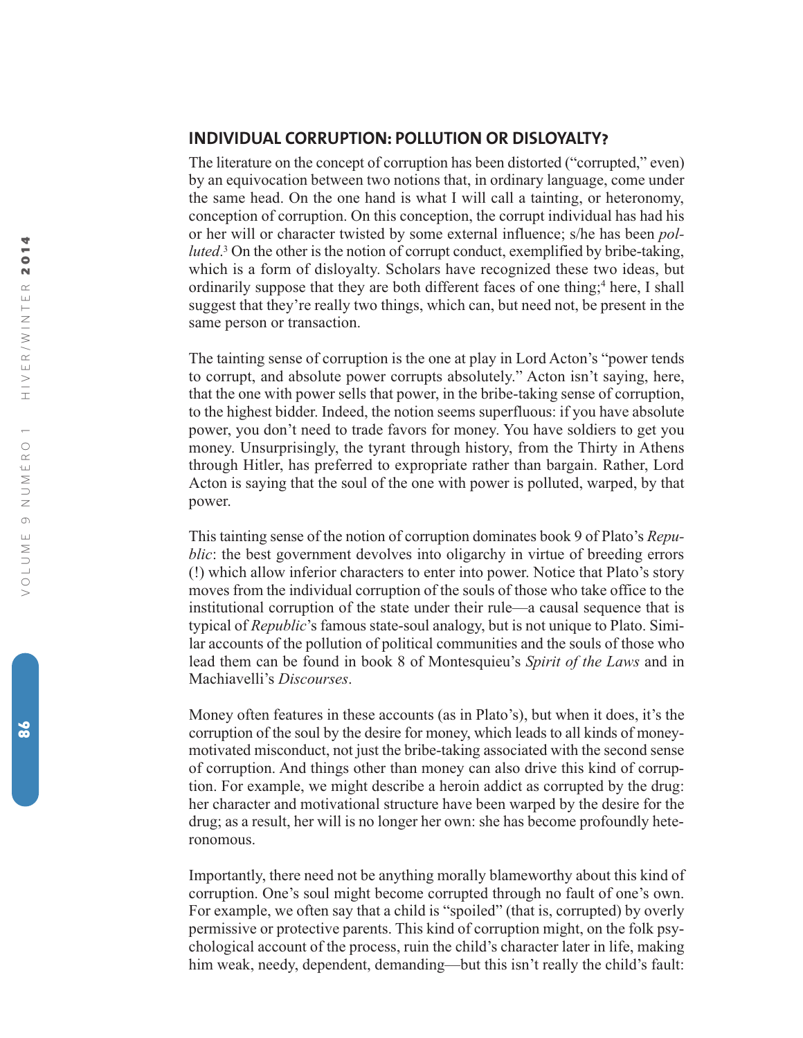## **INDIVIDUAL CORRUPTION: POLLUTION OR DISLOYALTY?**

The literature on the concept of corruption has been distorted ("corrupted," even) by an equivocation between two notions that, in ordinary language, come under the same head. On the one hand is what I will call a tainting, or heteronomy, conception of corruption. On this conception, the corrupt individual has had his or her will or character twisted by some external influence; s/he has been *polluted*.3 On the other is the notion of corrupt conduct, exemplified by bribe-taking, which is a form of disloyalty. Scholars have recognized these two ideas, but ordinarily suppose that they are both different faces of one thing;<sup>4</sup> here, I shall suggest that they're really two things, which can, but need not, be present in the same person or transaction.

The tainting sense of corruption is the one at play in Lord Acton's "power tends to corrupt, and absolute power corrupts absolutely." Acton isn't saying, here, that the one with power sells that power, in the bribe-taking sense of corruption, to the highest bidder. Indeed, the notion seems superfluous: if you have absolute power, you don't need to trade favors for money. You have soldiers to get you money. Unsurprisingly, the tyrant through history, from the Thirty in Athens through Hitler, has preferred to expropriate rather than bargain. Rather, Lord Acton is saying that the soul of the one with power is polluted, warped, by that power.

This tainting sense of the notion of corruption dominates book 9 of Plato's *Republic*: the best government devolves into oligarchy in virtue of breeding errors (!) which allow inferior characters to enter into power. Notice that Plato's story moves from the individual corruption of the souls of those who take office to the institutional corruption of the state under their rule—a causal sequence that is typical of *Republic*'s famous state-soul analogy, but is not unique to Plato. Similar accounts of the pollution of political communities and the souls of those who lead them can be found in book 8 of Montesquieu's *Spirit of the Laws* and in Machiavelli's *Discourses*.

Money often features in these accounts (as in Plato's), but when it does, it's the corruption of the soul by the desire for money, which leads to all kinds of moneymotivated misconduct, not just the bribe-taking associated with the second sense of corruption. And things other than money can also drive this kind of corruption. For example, we might describe a heroin addict as corrupted by the drug: her character and motivational structure have been warped by the desire for the drug; as a result, her will is no longer her own: she has become profoundly heteronomous.

Importantly, there need not be anything morally blameworthy about this kind of corruption. One's soul might become corrupted through no fault of one's own. For example, we often say that a child is "spoiled" (that is, corrupted) by overly permissive or protective parents. This kind of corruption might, on the folk psychological account of the process, ruin the child's character later in life, making him weak, needy, dependent, demanding—but this isn't really the child's fault: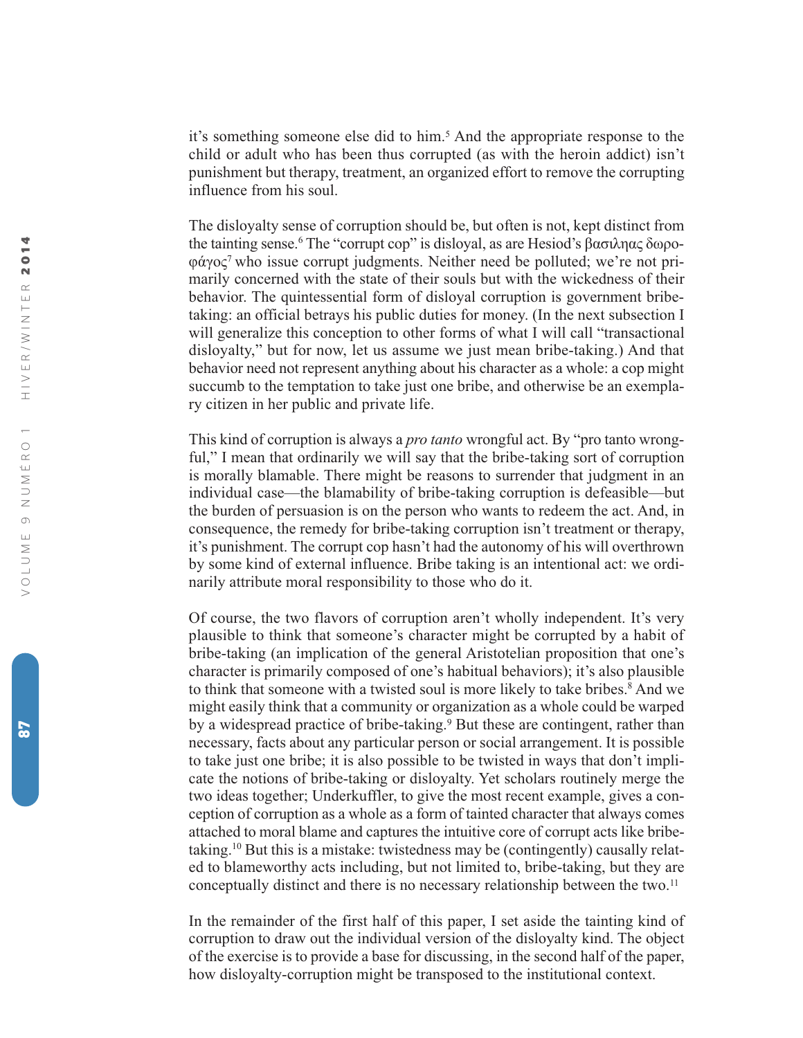it's something someone else did to him. <sup>5</sup> And the appropriate response to the child or adult who has been thus corrupted (as with the heroin addict) isn't punishment but therapy, treatment, an organized effort to remove the corrupting influence from his soul.

The disloyalty sense of corruption should be, but often is not, kept distinct from the tainting sense. <sup>6</sup> The "corrupt cop" is disloyal, as are Hesiod's βασιληας δωροφάγος7 who issue corrupt judgments. Neither need be polluted; we're not primarily concerned with the state of their souls but with the wickedness of their behavior. The quintessential form of disloyal corruption is government bribetaking: an official betrays his public duties for money. (In the next subsection I will generalize this conception to other forms of what I will call "transactional" disloyalty," but for now, let us assume we just mean bribe-taking.) And that behavior need not represent anything about his character as a whole: a cop might succumb to the temptation to take just one bribe, and otherwise be an exemplary citizen in her public and private life.

This kind of corruption is always a *pro tanto* wrongful act. By "pro tanto wrongful," I mean that ordinarily we will say that the bribe-taking sort of corruption is morally blamable. There might be reasons to surrender that judgment in an individual case—the blamability of bribe-taking corruption is defeasible—but the burden of persuasion is on the person who wants to redeem the act. And, in consequence, the remedy for bribe-taking corruption isn't treatment or therapy, it's punishment. The corrupt cop hasn't had the autonomy of his will overthrown by some kind of external influence. Bribe taking is an intentional act: we ordinarily attribute moral responsibility to those who do it.

Of course, the two flavors of corruption aren't wholly independent. It's very plausible to think that someone's character might be corrupted by a habit of bribe-taking (an implication of the general Aristotelian proposition that one's character is primarily composed of one's habitual behaviors); it's also plausible to think that someone with a twisted soul is more likely to take bribes. <sup>8</sup> And we might easily think that a community or organization as a whole could be warped by a widespread practice of bribe-taking. <sup>9</sup> But these are contingent, rather than necessary, facts about any particular person or social arrangement. It is possible to take just one bribe; it is also possible to be twisted in ways that don't implicate the notions of bribe-taking or disloyalty. Yet scholars routinely merge the two ideas together; Underkuffler, to give the most recent example, gives a conception of corruption as a whole as a form of tainted character that always comes attached to moral blame and captures the intuitive core of corrupt acts like bribetaking.10 But this is a mistake: twistedness may be (contingently) causally related to blameworthy acts including, but not limited to, bribe-taking, but they are conceptually distinct and there is no necessary relationship between the two.11

In the remainder of the first half of this paper, I set aside the tainting kind of corruption to draw out the individual version of the disloyalty kind. The object of the exercise is to provide a base for discussing, in the second half of the paper, how disloyalty-corruption might be transposed to the institutional context.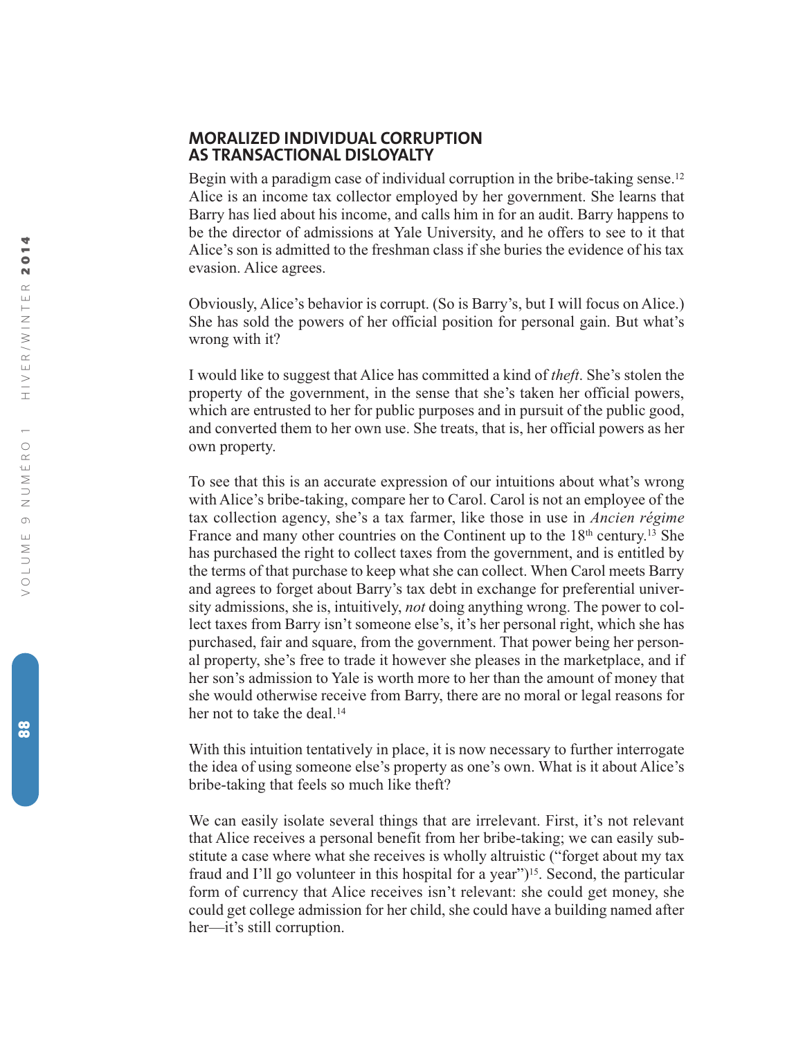## **MORALIZED INDIVIDUAL CORRUPTION AS TRANSACTIONAL DISLOYALTY**

Begin with a paradigm case of individual corruption in the bribe-taking sense.12 Alice is an income tax collector employed by her government. She learns that Barry has lied about his income, and calls him in for an audit. Barry happens to be the director of admissions at Yale University, and he offers to see to it that Alice's son is admitted to the freshman class if she buries the evidence of his tax evasion. Alice agrees.

Obviously, Alice's behavior is corrupt. (So is Barry's, but I will focus on Alice.) She has sold the powers of her official position for personal gain. But what's wrong with it?

I would like to suggest that Alice has committed a kind of *theft*. She's stolen the property of the government, in the sense that she's taken her official powers, which are entrusted to her for public purposes and in pursuit of the public good, and converted them to her own use. She treats, that is, her official powers as her own property.

To see that this is an accurate expression of our intuitions about what's wrong with Alice's bribe-taking, compare her to Carol. Carol is not an employee of the tax collection agency, she's a tax farmer, like those in use in *Ancien régime* France and many other countries on the Continent up to the 18<sup>th</sup> century.<sup>13</sup> She has purchased the right to collect taxes from the government, and is entitled by the terms of that purchase to keep what she can collect. When Carol meets Barry and agrees to forget about Barry's tax debt in exchange for preferential university admissions, she is, intuitively, *not* doing anything wrong. The power to collect taxes from Barry isn't someone else's, it's her personal right, which she has purchased, fair and square, from the government. That power being her personal property, she's free to trade it however she pleases in the marketplace, and if her son's admission to Yale is worth more to her than the amount of money that she would otherwise receive from Barry, there are no moral or legal reasons for her not to take the deal.<sup>14</sup>

With this intuition tentatively in place, it is now necessary to further interrogate the idea of using someone else's property as one's own. What is it about Alice's bribe-taking that feels so much like theft?

We can easily isolate several things that are irrelevant. First, it's not relevant that Alice receives a personal benefit from her bribe-taking; we can easily substitute a case where what she receives is wholly altruistic ("forget about my tax fraud and I'll go volunteer in this hospital for a year")<sup>15</sup>. Second, the particular form of currency that Alice receives isn't relevant: she could get money, she could get college admission for her child, she could have a building named after her—it's still corruption.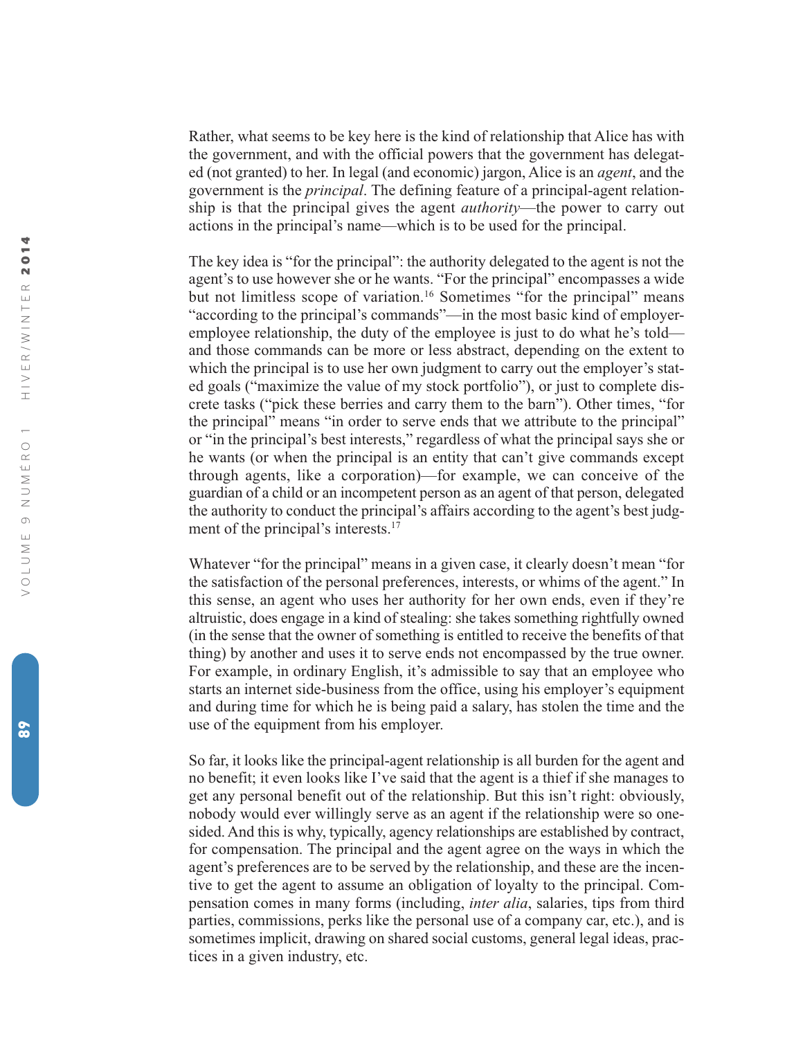Rather, what seems to be key here is the kind of relationship that Alice has with the government, and with the official powers that the government has delegated (not granted) to her. In legal (and economic) jargon, Alice is an *agent*, and the government is the *principal*. The defining feature of a principal-agent relationship is that the principal gives the agent *authority*—the power to carry out actions in the principal's name—which is to be used for the principal.

The key idea is "for the principal": the authority delegated to the agent is not the agent's to use however she or he wants. "For the principal" encompasses a wide but not limitless scope of variation.<sup>16</sup> Sometimes "for the principal" means "according to the principal's commands"—in the most basic kind of employeremployee relationship, the duty of the employee is just to do what he's told and those commands can be more or less abstract, depending on the extent to which the principal is to use her own judgment to carry out the employer's stated goals ("maximize the value of my stock portfolio"), or just to complete discrete tasks ("pick these berries and carry them to the barn"). Other times, "for the principal" means "in order to serve ends that we attribute to the principal" or "in the principal's best interests," regardless of what the principal says she or he wants (or when the principal is an entity that can't give commands except through agents, like a corporation)—for example, we can conceive of the guardian of a child or an incompetent person as an agent of that person, delegated the authority to conduct the principal's affairs according to the agent's best judgment of the principal's interests.<sup>17</sup>

Whatever "for the principal" means in a given case, it clearly doesn't mean "for the satisfaction of the personal preferences, interests, or whims of the agent." In this sense, an agent who uses her authority for her own ends, even if they're altruistic, does engage in a kind of stealing: she takes something rightfully owned (in the sense that the owner of something is entitled to receive the benefits of that thing) by another and uses it to serve ends not encompassed by the true owner. For example, in ordinary English, it's admissible to say that an employee who starts an internet side-business from the office, using his employer's equipment and during time for which he is being paid a salary, has stolen the time and the use of the equipment from his employer.

So far, it looks like the principal-agent relationship is all burden for the agent and no benefit; it even looks like I've said that the agent is a thief if she manages to get any personal benefit out of the relationship. But this isn't right: obviously, nobody would ever willingly serve as an agent if the relationship were so onesided. And this is why, typically, agency relationships are established by contract, for compensation. The principal and the agent agree on the ways in which the agent's preferences are to be served by the relationship, and these are the incentive to get the agent to assume an obligation of loyalty to the principal. Compensation comes in many forms (including, *inter alia*, salaries, tips from third parties, commissions, perks like the personal use of a company car, etc.), and is sometimes implicit, drawing on shared social customs, general legal ideas, practices in a given industry, etc.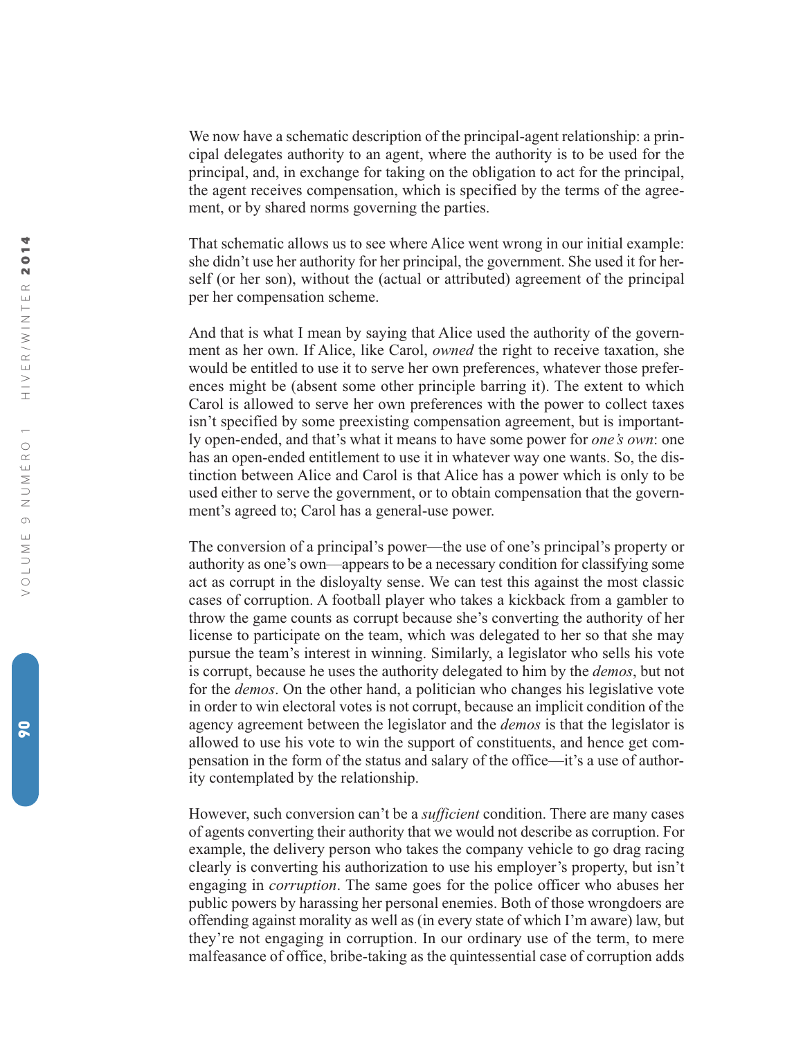We now have a schematic description of the principal-agent relationship: a principal delegates authority to an agent, where the authority is to be used for the principal, and, in exchange for taking on the obligation to act for the principal, the agent receives compensation, which is specified by the terms of the agreement, or by shared norms governing the parties.

That schematic allows us to see where Alice went wrong in our initial example: she didn't use her authority for her principal, the government. She used it for herself (or her son), without the (actual or attributed) agreement of the principal per her compensation scheme.

And that is what I mean by saying that Alice used the authority of the government as her own. If Alice, like Carol, *owned* the right to receive taxation, she would be entitled to use it to serve her own preferences, whatever those preferences might be (absent some other principle barring it). The extent to which Carol is allowed to serve her own preferences with the power to collect taxes isn't specified by some preexisting compensation agreement, but is importantly open-ended, and that's what it means to have some power for *one's own*: one has an open-ended entitlement to use it in whatever way one wants. So, the distinction between Alice and Carol is that Alice has a power which is only to be used either to serve the government, or to obtain compensation that the government's agreed to; Carol has a general-use power.

The conversion of a principal's power—the use of one's principal's property or authority as one's own—appears to be a necessary condition for classifying some act as corrupt in the disloyalty sense. We can test this against the most classic cases of corruption. A football player who takes a kickback from a gambler to throw the game counts as corrupt because she's converting the authority of her license to participate on the team, which was delegated to her so that she may pursue the team's interest in winning. Similarly, a legislator who sells his vote is corrupt, because he uses the authority delegated to him by the *demos*, but not for the *demos*. On the other hand, a politician who changes his legislative vote in order to win electoral votes is not corrupt, because an implicit condition of the agency agreement between the legislator and the *demos* is that the legislator is allowed to use his vote to win the support of constituents, and hence get compensation in the form of the status and salary of the office—it's a use of authority contemplated by the relationship.

However, such conversion can't be a *sufficient* condition. There are many cases of agents converting their authority that we would not describe as corruption. For example, the delivery person who takes the company vehicle to go drag racing clearly is converting his authorization to use his employer's property, but isn't engaging in *corruption*. The same goes for the police officer who abuses her public powers by harassing her personal enemies. Both of those wrongdoers are offending against morality as well as (in every state of which I'm aware) law, but they're not engaging in corruption. In our ordinary use of the term, to mere malfeasance of office, bribe-taking as the quintessential case of corruption adds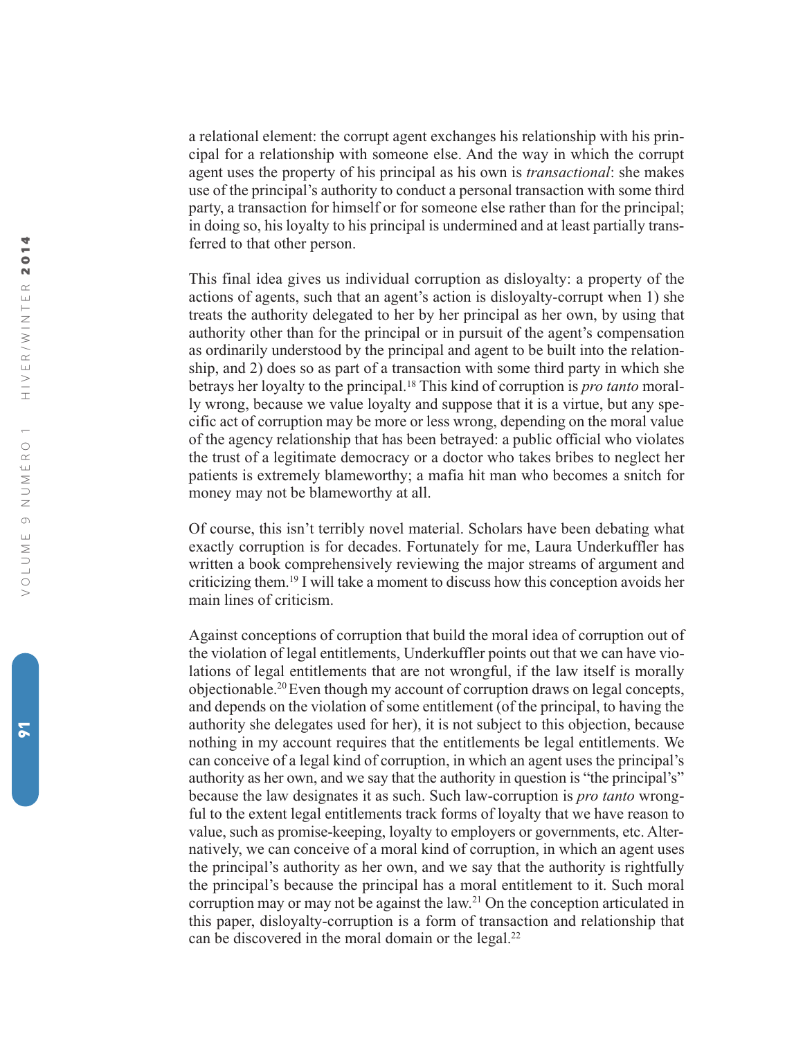a relational element: the corrupt agent exchanges his relationship with his principal for a relationship with someone else. And the way in which the corrupt agent uses the property of his principal as his own is *transactional*: she makes use of the principal's authority to conduct a personal transaction with some third party, a transaction for himself or for someone else rather than for the principal; in doing so, his loyalty to his principal is undermined and at least partially transferred to that other person.

This final idea gives us individual corruption as disloyalty: a property of the actions of agents, such that an agent's action is disloyalty-corrupt when 1) she treats the authority delegated to her by her principal as her own, by using that authority other than for the principal or in pursuit of the agent's compensation as ordinarily understood by the principal and agent to be built into the relationship, and 2) does so as part of a transaction with some third party in which she betrays her loyalty to the principal.18 This kind of corruption is *pro tanto* morally wrong, because we value loyalty and suppose that it is a virtue, but any specific act of corruption may be more or less wrong, depending on the moral value of the agency relationship that has been betrayed: a public official who violates the trust of a legitimate democracy or a doctor who takes bribes to neglect her patients is extremely blameworthy; a mafia hit man who becomes a snitch for money may not be blameworthy at all.

Of course, this isn't terribly novel material. Scholars have been debating what exactly corruption is for decades. Fortunately for me, Laura Underkuffler has written a book comprehensively reviewing the major streams of argument and criticizing them.19 I will take a moment to discuss how this conception avoids her main lines of criticism.

Against conceptions of corruption that build the moral idea of corruption out of the violation of legal entitlements, Underkuffler points out that we can have violations of legal entitlements that are not wrongful, if the law itself is morally objectionable.20 Even though my account of corruption draws on legal concepts, and depends on the violation of some entitlement (of the principal, to having the authority she delegates used for her), it is not subject to this objection, because nothing in my account requires that the entitlements be legal entitlements. We can conceive of a legal kind of corruption, in which an agent uses the principal's authority as her own, and we say that the authority in question is "the principal's" because the law designates it as such. Such law-corruption is *pro tanto* wrongful to the extent legal entitlements track forms of loyalty that we have reason to value, such as promise-keeping, loyalty to employers or governments, etc. Alternatively, we can conceive of a moral kind of corruption, in which an agent uses the principal's authority as her own, and we say that the authority is rightfully the principal's because the principal has a moral entitlement to it. Such moral corruption may or may not be against the law.21 On the conception articulated in this paper, disloyalty-corruption is a form of transaction and relationship that can be discovered in the moral domain or the legal.22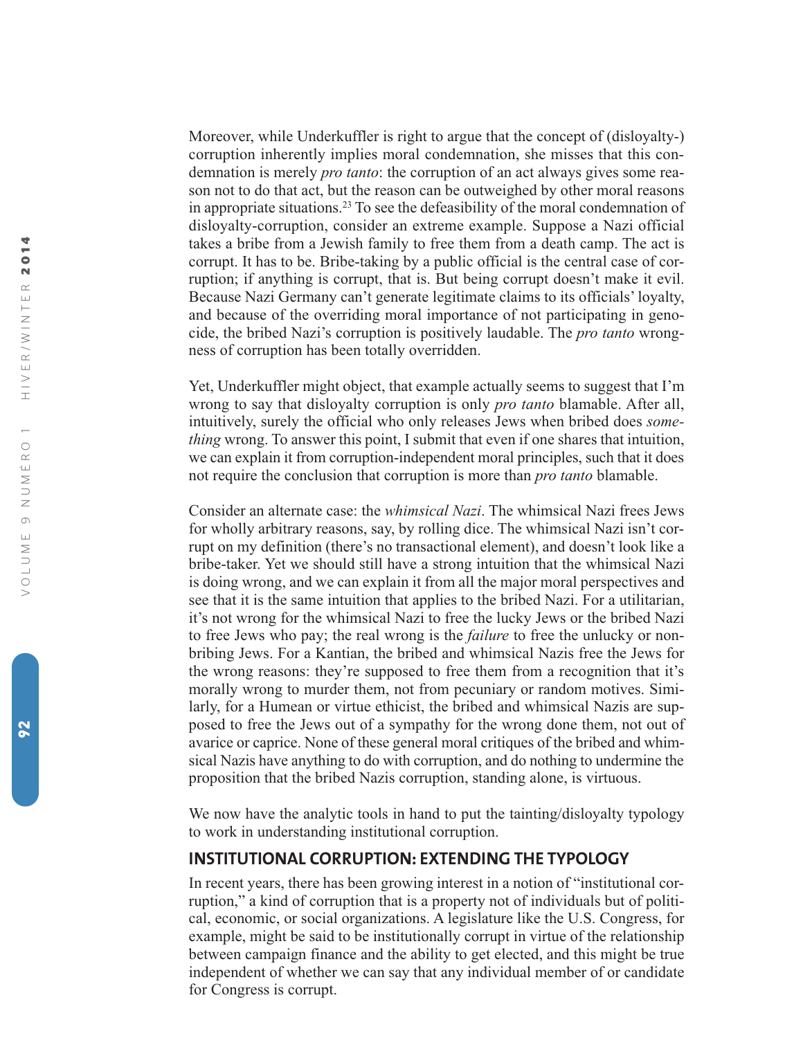Moreover, while Underkuffler is right to argue that the concept of (disloyalty-) corruption inherently implies moral condemnation, she misses that this condemnation is merely *pro tanto*: the corruption of an act always gives some reason not to do that act, but the reason can be outweighed by other moral reasons in appropriate situations.23 To see the defeasibility of the moral condemnation of disloyalty-corruption, consider an extreme example. Suppose a Nazi official takes a bribe from a Jewish family to free them from a death camp. The act is corrupt. It has to be. Bribe-taking by a public official is the central case of corruption; if anything is corrupt, that is. But being corrupt doesn't make it evil. Because Nazi Germany can't generate legitimate claims to its officials' loyalty, and because of the overriding moral importance of not participating in genocide, the bribed Nazi's corruption is positively laudable. The *pro tanto* wrongness of corruption has been totally overridden.

Yet, Underkuffler might object, that example actually seems to suggest that I'm wrong to say that disloyalty corruption is only *pro tanto* blamable. After all, intuitively, surely the official who only releases Jews when bribed does *something* wrong. To answer this point, I submit that even if one shares that intuition, we can explain it from corruption-independent moral principles, such that it does not require the conclusion that corruption is more than *pro tanto* blamable.

Consider an alternate case: the *whimsical Nazi*. The whimsical Nazi frees Jews for wholly arbitrary reasons, say, by rolling dice. The whimsical Nazi isn't corrupt on my definition (there's no transactional element), and doesn't look like a bribe-taker. Yet we should still have a strong intuition that the whimsical Nazi is doing wrong, and we can explain it from all the major moral perspectives and see that it is the same intuition that applies to the bribed Nazi. For a utilitarian, it's not wrong for the whimsical Nazi to free the lucky Jews or the bribed Nazi to free Jews who pay; the real wrong is the *failure* to free the unlucky or nonbribing Jews. For a Kantian, the bribed and whimsical Nazis free the Jews for the wrong reasons: they're supposed to free them from a recognition that it's morally wrong to murder them, not from pecuniary or random motives. Similarly, for a Humean or virtue ethicist, the bribed and whimsical Nazis are supposed to free the Jews out of a sympathy for the wrong done them, not out of avarice or caprice. None of these general moral critiques of the bribed and whimsical Nazis have anything to do with corruption, and do nothing to undermine the proposition that the bribed Nazis corruption, standing alone, is virtuous.

We now have the analytic tools in hand to put the tainting/disloyalty typology to work in understanding institutional corruption.

# **INSTITUTIONAL CORRUPTION: EXTENDING THE TYPOLOGY**

In recent years, there has been growing interest in a notion of "institutional corruption," a kind of corruption that is a property not of individuals but of political, economic, or social organizations. A legislature like the U.S. Congress, for example, might be said to be institutionally corrupt in virtue of the relationship between campaign finance and the ability to get elected, and this might be true independent of whether we can say that any individual member of or candidate for Congress is corrupt.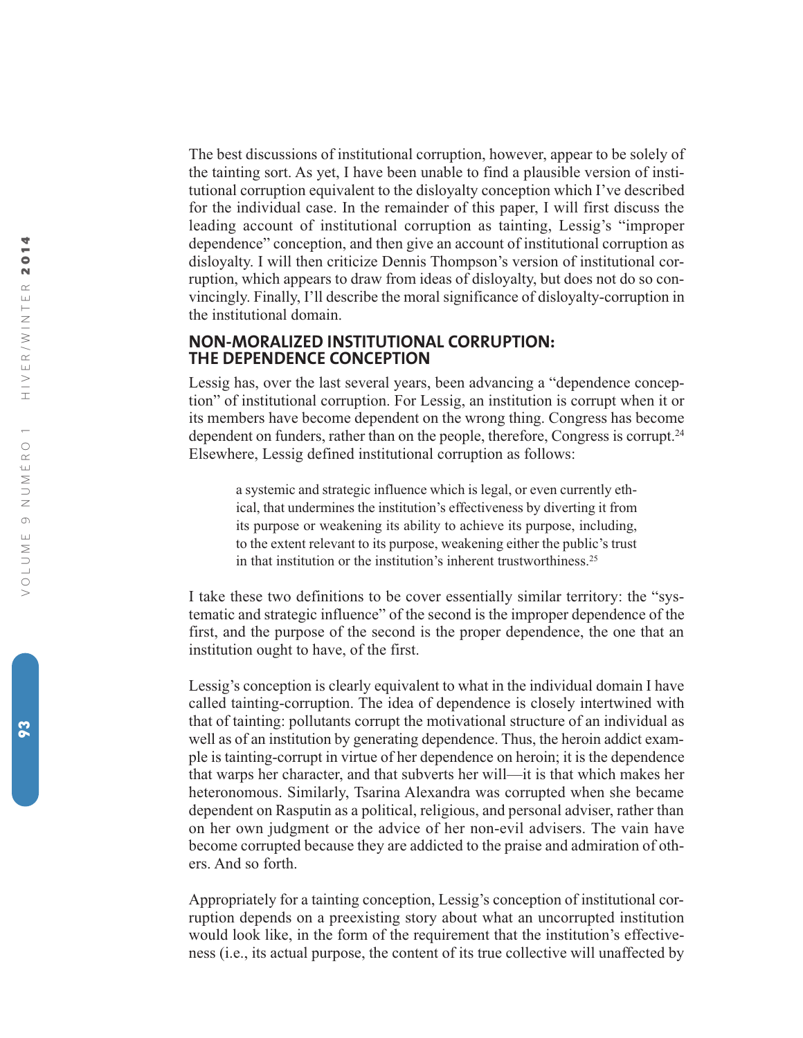The best discussions of institutional corruption, however, appear to be solely of the tainting sort. As yet, I have been unable to find a plausible version of institutional corruption equivalent to the disloyalty conception which I've described for the individual case. In the remainder of this paper, I will first discuss the leading account of institutional corruption as tainting, Lessig's "improper dependence" conception, and then give an account of institutional corruption as disloyalty. I will then criticize Dennis Thompson's version of institutional corruption, which appears to draw from ideas of disloyalty, but does not do so convincingly. Finally, I'll describe the moral significance of disloyalty-corruption in the institutional domain.

## **NON-MORALIZED INSTITUTIONAL CORRUPTION: THE DEPENDENCE CONCEPTION**

Lessig has, over the last several years, been advancing a "dependence conception" of institutional corruption. For Lessig, an institution is corrupt when it or its members have become dependent on the wrong thing. Congress has become dependent on funders, rather than on the people, therefore, Congress is corrupt.24 Elsewhere, Lessig defined institutional corruption as follows:

a systemic and strategic influence which is legal, or even currently ethical, that undermines the institution's effectiveness by diverting it from its purpose or weakening its ability to achieve its purpose, including, to the extent relevant to its purpose, weakening either the public's trust in that institution or the institution's inherent trustworthiness.25

I take these two definitions to be cover essentially similar territory: the "systematic and strategic influence" of the second is the improper dependence of the first, and the purpose of the second is the proper dependence, the one that an institution ought to have, of the first.

Lessig's conception is clearly equivalent to what in the individual domain I have called tainting-corruption. The idea of dependence is closely intertwined with that of tainting: pollutants corrupt the motivational structure of an individual as well as of an institution by generating dependence. Thus, the heroin addict example is tainting-corrupt in virtue of her dependence on heroin; it is the dependence that warps her character, and that subverts her will—it is that which makes her heteronomous. Similarly, Tsarina Alexandra was corrupted when she became dependent on Rasputin as a political, religious, and personal adviser, rather than on her own judgment or the advice of her non-evil advisers. The vain have become corrupted because they are addicted to the praise and admiration of others. And so forth.

Appropriately for a tainting conception, Lessig's conception of institutional corruption depends on a preexisting story about what an uncorrupted institution would look like, in the form of the requirement that the institution's effectiveness (i.e., its actual purpose, the content of its true collective will unaffected by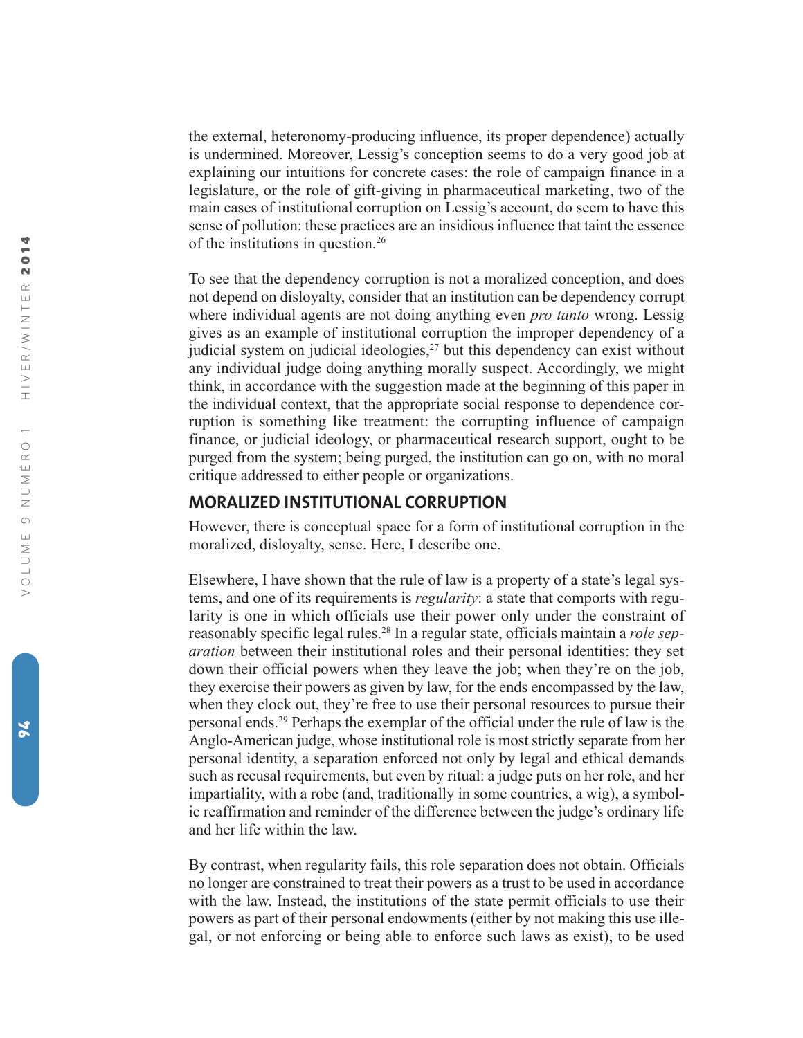the external, heteronomy-producing influence, its proper dependence) actually is undermined. Moreover, Lessig's conception seems to do a very good job at explaining our intuitions for concrete cases: the role of campaign finance in a legislature, or the role of gift-giving in pharmaceutical marketing, two of the main cases of institutional corruption on Lessig's account, do seem to have this sense of pollution: these practices are an insidious influence that taint the essence of the institutions in question.26

To see that the dependency corruption is not a moralized conception, and does not depend on disloyalty, consider that an institution can be dependency corrupt where individual agents are not doing anything even *pro tanto* wrong. Lessig gives as an example of institutional corruption the improper dependency of a judicial system on judicial ideologies, $27$  but this dependency can exist without any individual judge doing anything morally suspect. Accordingly, we might think, in accordance with the suggestion made at the beginning of this paper in the individual context, that the appropriate social response to dependence corruption is something like treatment: the corrupting influence of campaign finance, or judicial ideology, or pharmaceutical research support, ought to be purged from the system; being purged, the institution can go on, with no moral critique addressed to either people or organizations.

## **MORALIZED INSTITUTIONAL CORRUPTION**

However, there is conceptual space for a form of institutional corruption in the moralized, disloyalty, sense. Here, I describe one.

Elsewhere, I have shown that the rule of law is a property of a state's legal systems, and one of its requirements is *regularity*: a state that comports with regularity is one in which officials use their power only under the constraint of reasonably specific legal rules.28 In a regular state, officials maintain a *role separation* between their institutional roles and their personal identities: they set down their official powers when they leave the job; when they're on the job, they exercise their powers as given by law, for the ends encompassed by the law, when they clock out, they're free to use their personal resources to pursue their personal ends.29 Perhaps the exemplar of the official under the rule of law is the Anglo-American judge, whose institutional role is most strictly separate from her personal identity, a separation enforced not only by legal and ethical demands such as recusal requirements, but even by ritual: a judge puts on her role, and her impartiality, with a robe (and, traditionally in some countries, a wig), a symbolic reaffirmation and reminder of the difference between the judge's ordinary life and her life within the law.

By contrast, when regularity fails, this role separation does not obtain. Officials no longer are constrained to treat their powers as a trust to be used in accordance with the law. Instead, the institutions of the state permit officials to use their powers as part of their personal endowments (either by not making this use illegal, or not enforcing or being able to enforce such laws as exist), to be used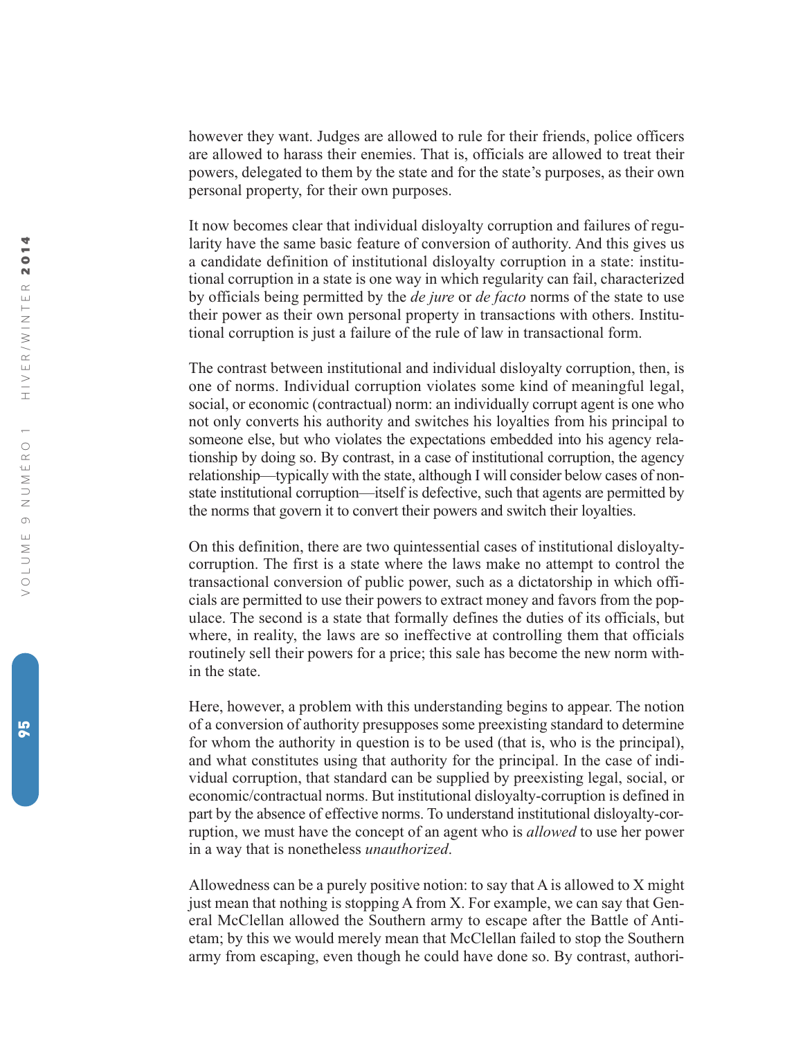however they want. Judges are allowed to rule for their friends, police officers are allowed to harass their enemies. That is, officials are allowed to treat their powers, delegated to them by the state and for the state's purposes, as their own personal property, for their own purposes.

It now becomes clear that individual disloyalty corruption and failures of regularity have the same basic feature of conversion of authority. And this gives us a candidate definition of institutional disloyalty corruption in a state: institutional corruption in a state is one way in which regularity can fail, characterized by officials being permitted by the *de jure* or *de facto* norms of the state to use their power as their own personal property in transactions with others. Institutional corruption is just a failure of the rule of law in transactional form.

The contrast between institutional and individual disloyalty corruption, then, is one of norms. Individual corruption violates some kind of meaningful legal, social, or economic (contractual) norm: an individually corrupt agent is one who not only converts his authority and switches his loyalties from his principal to someone else, but who violates the expectations embedded into his agency relationship by doing so. By contrast, in a case of institutional corruption, the agency relationship—typically with the state, although I will consider below cases of nonstate institutional corruption—itself is defective, such that agents are permitted by the norms that govern it to convert their powers and switch their loyalties.

On this definition, there are two quintessential cases of institutional disloyaltycorruption. The first is a state where the laws make no attempt to control the transactional conversion of public power, such as a dictatorship in which officials are permitted to use their powers to extract money and favors from the populace. The second is a state that formally defines the duties of its officials, but where, in reality, the laws are so ineffective at controlling them that officials routinely sell their powers for a price; this sale has become the new norm within the state.

Here, however, a problem with this understanding begins to appear. The notion of a conversion of authority presupposes some preexisting standard to determine for whom the authority in question is to be used (that is, who is the principal), and what constitutes using that authority for the principal. In the case of individual corruption, that standard can be supplied by preexisting legal, social, or economic/contractual norms. But institutional disloyalty-corruption is defined in part by the absence of effective norms. To understand institutional disloyalty-corruption, we must have the concept of an agent who is *allowed* to use her power in a way that is nonetheless *unauthorized*.

Allowedness can be a purely positive notion: to say that A is allowed to X might just mean that nothing is stopping A from X. For example, we can say that General McClellan allowed the Southern army to escape after the Battle of Antietam; by this we would merely mean that McClellan failed to stop the Southern army from escaping, even though he could have done so. By contrast, authori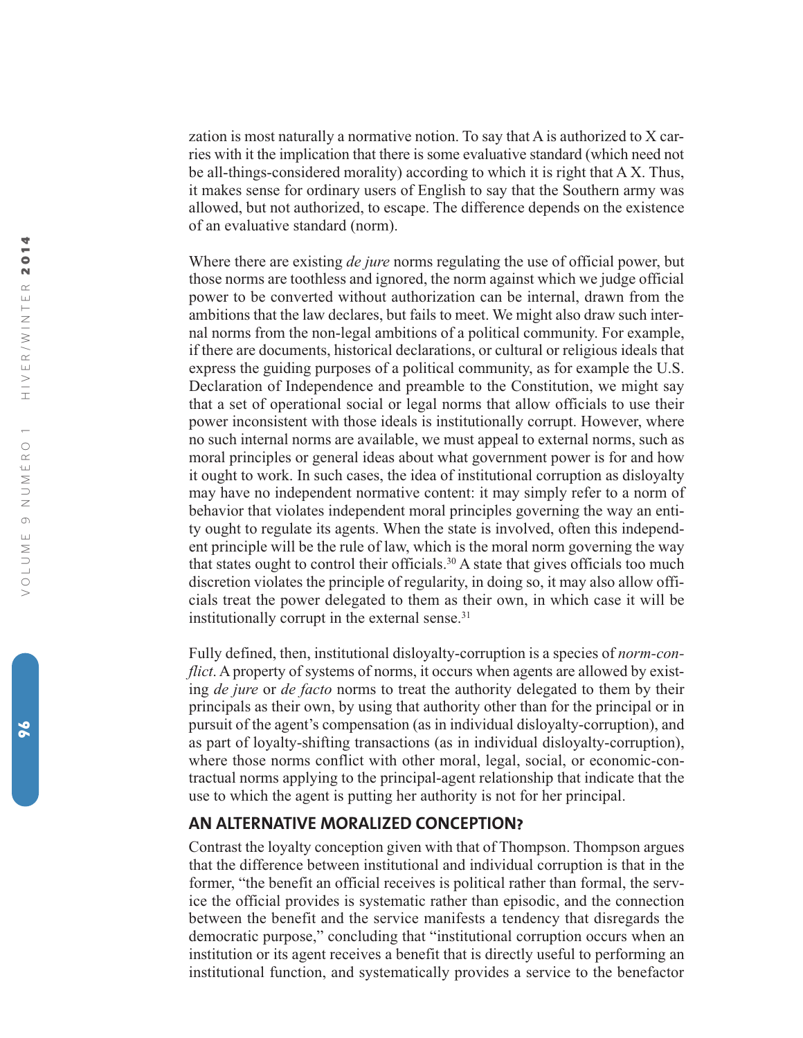zation is most naturally a normative notion. To say that A is authorized to X carries with it the implication that there is some evaluative standard (which need not be all-things-considered morality) according to which it is right that A X. Thus, it makes sense for ordinary users of English to say that the Southern army was allowed, but not authorized, to escape. The difference depends on the existence of an evaluative standard (norm).

Where there are existing *de jure* norms regulating the use of official power, but those norms are toothless and ignored, the norm against which we judge official power to be converted without authorization can be internal, drawn from the ambitions that the law declares, but fails to meet. We might also draw such internal norms from the non-legal ambitions of a political community. For example, if there are documents, historical declarations, or cultural or religious ideals that express the guiding purposes of a political community, as for example the U.S. Declaration of Independence and preamble to the Constitution, we might say that a set of operational social or legal norms that allow officials to use their power inconsistent with those ideals is institutionally corrupt. However, where no such internal norms are available, we must appeal to external norms, such as moral principles or general ideas about what government power is for and how it ought to work. In such cases, the idea of institutional corruption as disloyalty may have no independent normative content: it may simply refer to a norm of behavior that violates independent moral principles governing the way an entity ought to regulate its agents. When the state is involved, often this independent principle will be the rule of law, which is the moral norm governing the way that states ought to control their officials.<sup>30</sup> A state that gives officials too much discretion violates the principle of regularity, in doing so, it may also allow officials treat the power delegated to them as their own, in which case it will be institutionally corrupt in the external sense.31

Fully defined, then, institutional disloyalty-corruption is a species of *norm-conflict*. A property of systems of norms, it occurs when agents are allowed by existing *de jure* or *de facto* norms to treat the authority delegated to them by their principals as their own, by using that authority other than for the principal or in pursuit of the agent's compensation (as in individual disloyalty-corruption), and as part of loyalty-shifting transactions (as in individual disloyalty-corruption), where those norms conflict with other moral, legal, social, or economic-contractual norms applying to the principal-agent relationship that indicate that the use to which the agent is putting her authority is not for her principal.

# **AN ALTERNATIVE MORALIZED CONCEPTION?**

Contrast the loyalty conception given with that of Thompson. Thompson argues that the difference between institutional and individual corruption is that in the former, "the benefit an official receives is political rather than formal, the service the official provides is systematic rather than episodic, and the connection between the benefit and the service manifests a tendency that disregards the democratic purpose," concluding that "institutional corruption occurs when an institution or its agent receives a benefit that is directly useful to performing an institutional function, and systematically provides a service to the benefactor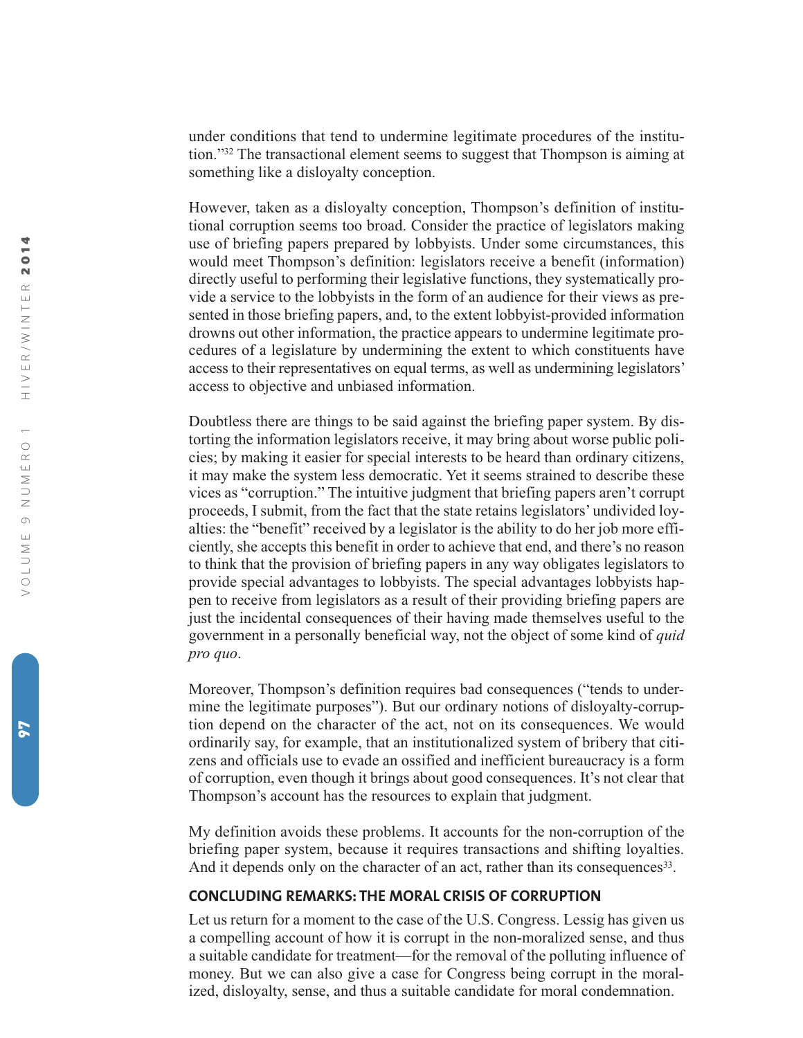under conditions that tend to undermine legitimate procedures of the institution."32 The transactional element seems to suggest that Thompson is aiming at something like a disloyalty conception.

However, taken as a disloyalty conception, Thompson's definition of institutional corruption seems too broad. Consider the practice of legislators making use of briefing papers prepared by lobbyists. Under some circumstances, this would meet Thompson's definition: legislators receive a benefit (information) directly useful to performing their legislative functions, they systematically provide a service to the lobbyists in the form of an audience for their views as presented in those briefing papers, and, to the extent lobbyist-provided information drowns out other information, the practice appears to undermine legitimate procedures of a legislature by undermining the extent to which constituents have access to their representatives on equal terms, as well as undermining legislators' access to objective and unbiased information.

Doubtless there are things to be said against the briefing paper system. By distorting the information legislators receive, it may bring about worse public policies; by making it easier for special interests to be heard than ordinary citizens, it may make the system less democratic. Yet it seems strained to describe these vices as "corruption." The intuitive judgment that briefing papers aren't corrupt proceeds, I submit, from the fact that the state retains legislators' undivided loyalties: the "benefit" received by a legislator is the ability to do her job more efficiently, she accepts this benefit in order to achieve that end, and there's no reason to think that the provision of briefing papers in any way obligates legislators to provide special advantages to lobbyists. The special advantages lobbyists happen to receive from legislators as a result of their providing briefing papers are just the incidental consequences of their having made themselves useful to the government in a personally beneficial way, not the object of some kind of *quid pro quo*.

Moreover, Thompson's definition requires bad consequences ("tends to undermine the legitimate purposes"). But our ordinary notions of disloyalty-corruption depend on the character of the act, not on its consequences. We would ordinarily say, for example, that an institutionalized system of bribery that citizens and officials use to evade an ossified and inefficient bureaucracy is a form of corruption, even though it brings about good consequences. It's not clear that Thompson's account has the resources to explain that judgment.

My definition avoids these problems. It accounts for the non-corruption of the briefing paper system, because it requires transactions and shifting loyalties. And it depends only on the character of an act, rather than its consequences<sup>33</sup>.

### **CONCLUDING REMARKS: THE MORAL CRISIS OF CORRUPTION**

Let us return for a moment to the case of the U.S. Congress. Lessig has given us a compelling account of how it is corrupt in the non-moralized sense, and thus a suitable candidate for treatment—for the removal of the polluting influence of money. But we can also give a case for Congress being corrupt in the moralized, disloyalty, sense, and thus a suitable candidate for moral condemnation.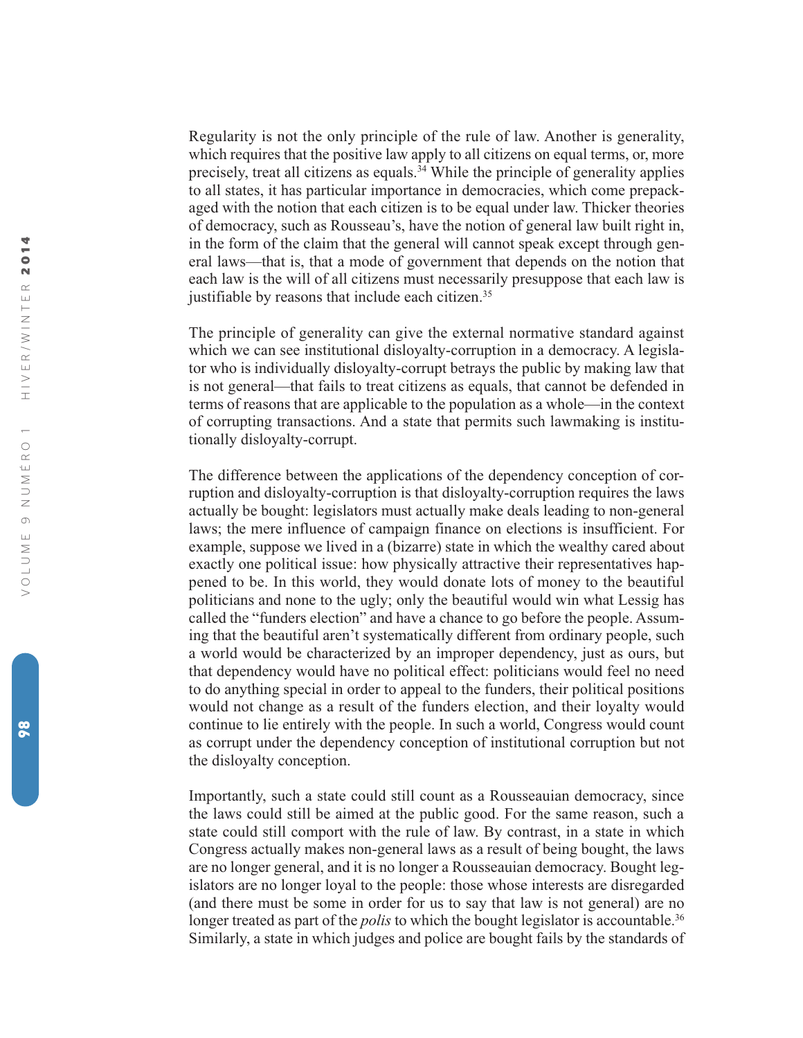Regularity is not the only principle of the rule of law. Another is generality, which requires that the positive law apply to all citizens on equal terms, or, more precisely, treat all citizens as equals.34 While the principle of generality applies to all states, it has particular importance in democracies, which come prepackaged with the notion that each citizen is to be equal under law. Thicker theories of democracy, such as Rousseau's, have the notion of general law built right in, in the form of the claim that the general will cannot speak except through general laws—that is, that a mode of government that depends on the notion that each law is the will of all citizens must necessarily presuppose that each law is justifiable by reasons that include each citizen.<sup>35</sup>

The principle of generality can give the external normative standard against which we can see institutional disloyalty-corruption in a democracy. A legislator who is individually disloyalty-corrupt betrays the public by making law that is not general—that fails to treat citizens as equals, that cannot be defended in terms of reasons that are applicable to the population as a whole—in the context of corrupting transactions. And a state that permits such lawmaking is institutionally disloyalty-corrupt.

The difference between the applications of the dependency conception of corruption and disloyalty-corruption is that disloyalty-corruption requires the laws actually be bought: legislators must actually make deals leading to non-general laws; the mere influence of campaign finance on elections is insufficient. For example, suppose we lived in a (bizarre) state in which the wealthy cared about exactly one political issue: how physically attractive their representatives happened to be. In this world, they would donate lots of money to the beautiful politicians and none to the ugly; only the beautiful would win what Lessig has called the "funders election" and have a chance to go before the people. Assuming that the beautiful aren't systematically different from ordinary people, such a world would be characterized by an improper dependency, just as ours, but that dependency would have no political effect: politicians would feel no need to do anything special in order to appeal to the funders, their political positions would not change as a result of the funders election, and their loyalty would continue to lie entirely with the people. In such a world, Congress would count as corrupt under the dependency conception of institutional corruption but not the disloyalty conception.

Importantly, such a state could still count as a Rousseauian democracy, since the laws could still be aimed at the public good. For the same reason, such a state could still comport with the rule of law. By contrast, in a state in which Congress actually makes non-general laws as a result of being bought, the laws are no longer general, and it is no longer a Rousseauian democracy. Bought legislators are no longer loyal to the people: those whose interests are disregarded (and there must be some in order for us to say that law is not general) are no longer treated as part of the *polis* to which the bought legislator is accountable.<sup>36</sup> Similarly, a state in which judges and police are bought fails by the standards of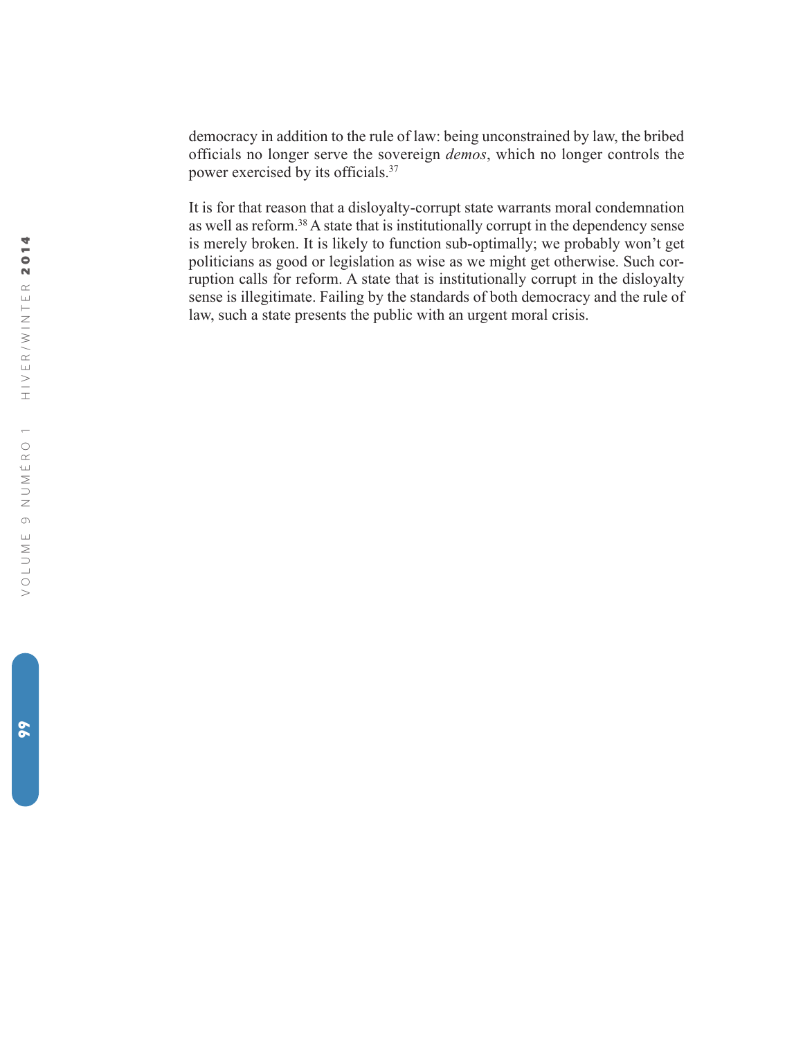democracy in addition to the rule of law: being unconstrained by law, the bribed officials no longer serve the sovereign *demos*, which no longer controls the power exercised by its officials.37

It is for that reason that a disloyalty-corrupt state warrants moral condemnation as well as reform.38 A state that is institutionally corrupt in the dependency sense is merely broken. It is likely to function sub-optimally; we probably won't get politicians as good or legislation as wise as we might get otherwise. Such corruption calls for reform. A state that is institutionally corrupt in the disloyalty sense is illegitimate. Failing by the standards of both democracy and the rule of law, such a state presents the public with an urgent moral crisis.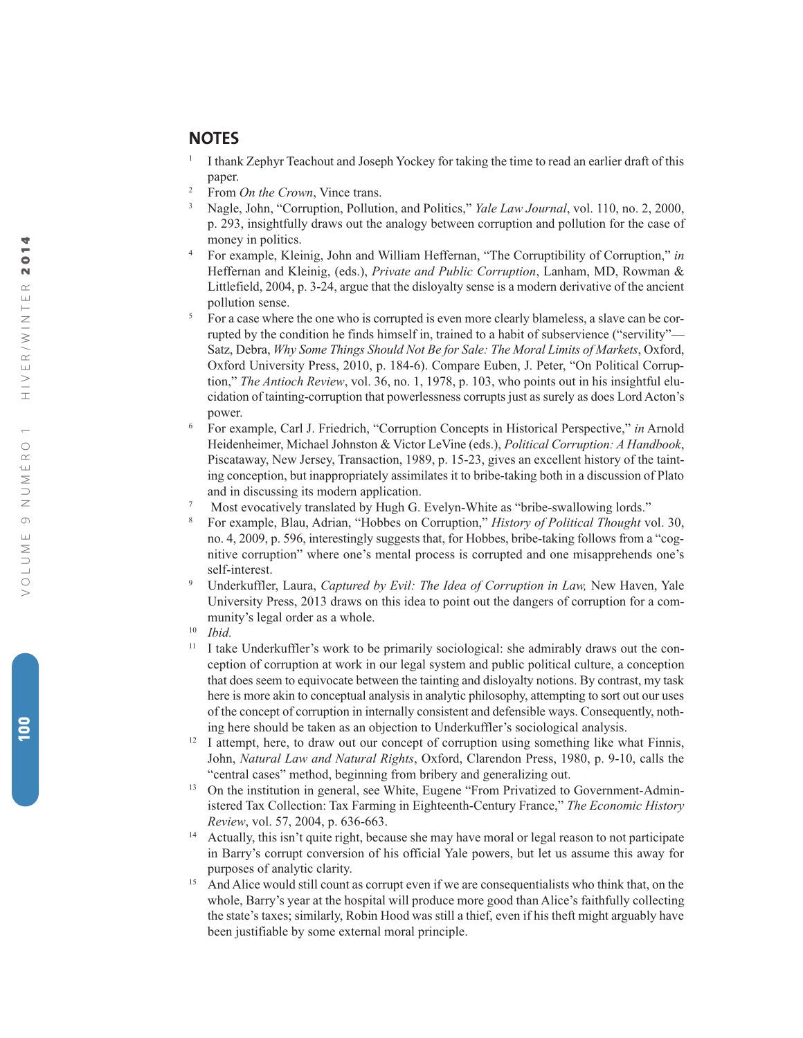### **NOTES**

- <sup>1</sup> I thank Zephyr Teachout and Joseph Yockey for taking the time to read an earlier draft of this paper.
- <sup>2</sup> From *On the Crown*, Vince trans.
- <sup>3</sup> Nagle, John, "Corruption, Pollution, and Politics," *Yale Law Journal*, vol. 110, no. 2, 2000, p. 293, insightfully draws out the analogy between corruption and pollution for the case of money in politics.
- <sup>4</sup> For example, Kleinig, John and William Heffernan, "The Corruptibility of Corruption," *in* Heffernan and Kleinig, (eds.), *Private and Public Corruption*, Lanham, MD, Rowman & Littlefield, 2004, p. 3-24, argue that the disloyalty sense is a modern derivative of the ancient pollution sense.
- <sup>5</sup> For a case where the one who is corrupted is even more clearly blameless, a slave can be corrupted by the condition he finds himself in, trained to a habit of subservience ("servility"— Satz, Debra, *Why Some Things Should Not Be for Sale: The Moral Limits of Markets*, Oxford, Oxford University Press, 2010, p. 184-6). Compare Euben, J. Peter, "On Political Corruption," *The Antioch Review*, vol. 36, no. 1, 1978, p. 103, who points out in his insightful elucidation of tainting-corruption that powerlessness corrupts just as surely as does Lord Acton's power.
- <sup>6</sup> For example, Carl J. Friedrich, "Corruption Concepts in Historical Perspective," *in* Arnold Heidenheimer, Michael Johnston & Victor LeVine (eds.), *Political Corruption: A Handbook* , Piscataway, New Jersey, Transaction, 1989, p. 15-23, gives an excellent history of the tainting conception, but inappropriately assimilates it to bribe-taking both in a discussion of Plato and in discussing its modern application.
- <sup>7</sup> Most evocatively translated by Hugh G. Evelyn-White as "bribe-swallowing lords."<br><sup>8</sup> Eq. eventual Play, Advian "Hebbes on Corruntion*" History of Political Thought we*
- <sup>8</sup> For example, Blau, Adrian, "Hobbes on Corruption," *History of Political Thought* vol. 30, no. 4, 2009, p. 596, interestingly suggests that, for Hobbes, bribe-taking follows from a "cognitive corruption" where one's mental process is corrupted and one misapprehends one's self-interest.
- <sup>9</sup> Underkuffler, Laura, *Captured by Evil: The Idea of Corruption in Law,* New Haven, Yale University Press, 2013 draws on this idea to point out the dangers of corruption for a community's legal order as a whole.
- $10$  *Ibid.*<br> $11$  **I** tak
- I take Underkuffler's work to be primarily sociological: she admirably draws out the conception of corruption at work in our legal system and public political culture, a conception that does seem to equivocate between the tainting and disloyalty notions. By contrast, my task here is more akin to conceptual analysis in analytic philosophy, attempting to sort out our uses of the concept of corruption in internally consistent and defensible ways. Consequently, nothing here should be taken as an objection to Underkuffler's sociological analysis.
- <sup>12</sup> I attempt, here, to draw out our concept of corruption using something like what Finnis, John, *Natural Law and Natural Rights*, Oxford, Clarendon Press, 1980, p. 9-10, calls the "central cases" method, beginning from bribery and generalizing out.
- <sup>13</sup> On the institution in general, see White, Eugene "From Privatized to Government-Administered Tax Collection: Tax Farming in Eighteenth-Century France," *The Economic History Review*, vol. 57, 2004, p. 636-663.
- <sup>14</sup> Actually, this isn't quite right, because she may have moral or legal reason to not participate in Barry's corrupt conversion of his official Yale powers, but let us assume this away for purposes of analytic clarity.
- <sup>15</sup> And Alice would still count as corrupt even if we are consequentialists who think that, on the whole, Barry's year at the hospital will produce more good than Alice's faithfully collecting the state's taxes; similarly, Robin Hood was still a thief, even if his theft might arguably have been justifiable by some external moral principle.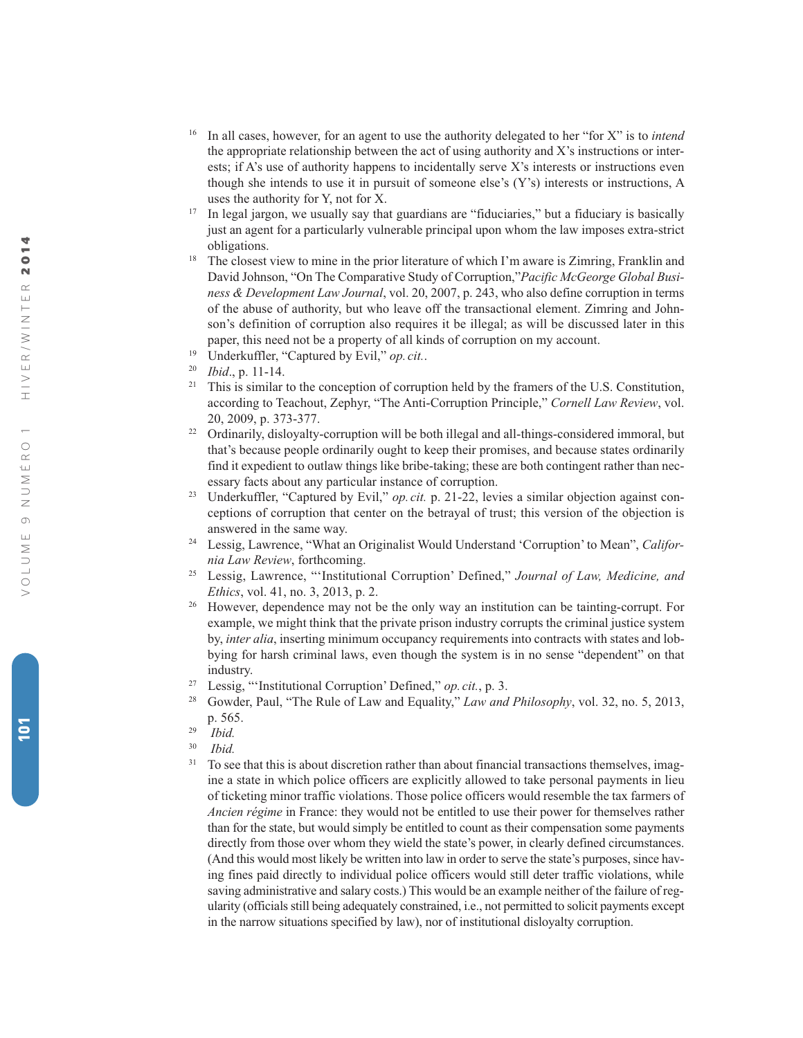- <sup>16</sup> In all cases, however, for an agent to use the authority delegated to her "for X" is to *intend* the appropriate relationship between the act of using authority and X's instructions or interests; if A's use of authority happens to incidentally serve X's interests or instructions even though she intends to use it in pursuit of someone else's (Y's) interests or instructions, A uses the authority for Y, not for X.
- $17$  In legal jargon, we usually say that guardians are "fiduciaries," but a fiduciary is basically just an agent for a particularly vulnerable principal upon whom the law imposes extra-strict obligations.
- <sup>18</sup> The closest view to mine in the prior literature of which I'm aware is Zimring, Franklin and David Johnson, "On The Comparative Study of Corruption,"*Pacific McGeorge Global Business & Development Law Journal*, vol. 20, 2007, p. 243, who also define corruption in terms of the abuse of authority, but who leave off the transactional element. Zimring and Johnson's definition of corruption also requires it be illegal; as will be discussed later in this paper, this need not be a property of all kinds of corruption on my account.
- <sup>19</sup> Underkuffler, "Captured by Evil," *op. cit.*.
- <sup>20</sup> *Ibid*., p. 11-14.
- <sup>21</sup> This is similar to the conception of corruption held by the framers of the U.S. Constitution, according to Teachout, Zephyr, "The Anti-Corruption Principle," *Cornell Law Review*, vol. 20, 2009, p. 373-377.
- <sup>22</sup> Ordinarily, disloyalty-corruption will be both illegal and all-things-considered immoral, but that's because people ordinarily ought to keep their promises, and because states ordinarily find it expedient to outlaw things like bribe-taking; these are both contingent rather than necessary facts about any particular instance of corruption.
- <sup>23</sup> Underkuffler, "Captured by Evil," *op. cit.* p. 21-22, levies a similar objection against conceptions of corruption that center on the betrayal of trust; this version of the objection is answered in the same way.
- <sup>24</sup> Lessig, Lawrence, "What an Originalist Would Understand 'Corruption' to Mean", *California Law Review*, forthcoming.
- <sup>25</sup> Lessig, Lawrence, "'Institutional Corruption' Defined," *Journal of Law, Medicine, and Ethics*, vol. 41, no. 3, 2013, p. 2.<br><sup>26</sup> However, dependence may not be the only way an institution can be tainting-corrupt. For
- example, we might think that the private prison industry corrupts the criminal justice system by, *inter alia*, inserting minimum occupancy requirements into contracts with states and lobbying for harsh criminal laws, even though the system is in no sense "dependent" on that industry.
- <sup>27</sup> Lessig, "'Institutional Corruption' Defined," *op. cit.*, p. 3.
- <sup>28</sup> Gowder, Paul, "The Rule of Law and Equality," *Law and Philosophy*, vol. 32, no. 5, 2013, p. 565.
- <sup>29</sup> *Ibid.*
- <sup>30</sup> *Ibid.*
- <sup>31</sup> To see that this is about discretion rather than about financial transactions themselves, imagine a state in which police officers are explicitly allowed to take personal payments in lieu of ticketing minor traffic violations. Those police officers would resemble the tax farmers of *Ancien régime* in France: they would not be entitled to use their power for themselves rather than for the state, but would simply be entitled to count as their compensation some payments directly from those over whom they wield the state's power, in clearly defined circumstances. (And this would most likely be written into law in order to serve the state's purposes, since having fines paid directly to individual police officers would still deter traffic violations, while saving administrative and salary costs.) This would be an example neither of the failure of regularity (officials still being adequately constrained, i.e., not permitted to solicit payments except in the narrow situations specified by law), nor of institutional disloyalty corruption.